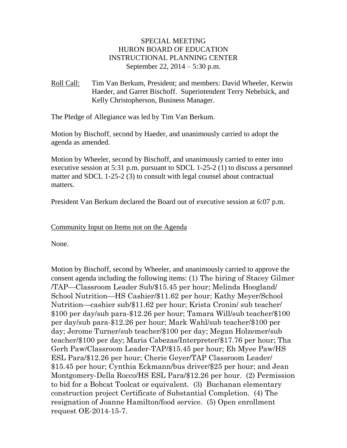# SPECIAL MEETING HURON BOARD OF EDUCATION INSTRUCTIONAL PLANNING CENTER September 22, 2014 – 5:30 p.m.

Roll Call: Tim Van Berkum, President; and members: David Wheeler, Kerwin Haeder, and Garret Bischoff. Superintendent Terry Nebelsick, and Kelly Christopherson, Business Manager.

The Pledge of Allegiance was led by Tim Van Berkum.

Motion by Bischoff, second by Haeder, and unanimously carried to adopt the agenda as amended.

Motion by Wheeler, second by Bischoff, and unanimously carried to enter into executive session at 5:31 p.m. pursuant to SDCL 1-25-2 (1) to discuss a personnel matter and SDCL 1-25-2 (3) to consult with legal counsel about contractual matters.

President Van Berkum declared the Board out of executive session at 6:07 p.m.

Community Input on Items not on the Agenda

None.

Motion by Bischoff, second by Wheeler, and unanimously carried to approve the consent agenda including the following items: (1) The hiring of Stacey Gilmer /TAP—Classroom Leader Sub/\$15.45 per hour; Melinda Hoogland/ School Nutrition—HS Cashier/\$11.62 per hour; Kathy Meyer/School Nutrition—cashier sub/\$11.62 per hour; Krista Cronin/ sub teacher/ \$100 per day/sub para-\$12.26 per hour; Tamara Will/sub teacher/\$100 per day/sub para-\$12.26 per hour; Mark Wahl/sub teacher/\$100 per day; Jerome Turner/sub teacher/\$100 per day; Megan Holzemer/sub teacher/\$100 per day; Maria Cabezas/Interpreter/\$17.76 per hour; Tha Gerh Paw/Classroom Leader-TAP/\$15.45 per hour; Eh Myee Paw/HS ESL Para/\$12.26 per hour; Cherie Geyer/TAP Classroom Leader/ \$15.45 per hour; Cynthia Eckmann/bus driver/\$25 per hour; and Jean Montgomery-Della Rocco/HS ESL Para/\$12.26 per hour. (2) Permission to bid for a Bobcat Toolcat or equivalent. (3) Buchanan elementary construction project Certificate of Substantial Completion. (4) The resignation of Joanne Hamilton/food service. (5) Open enrollment request OE-2014-15-7.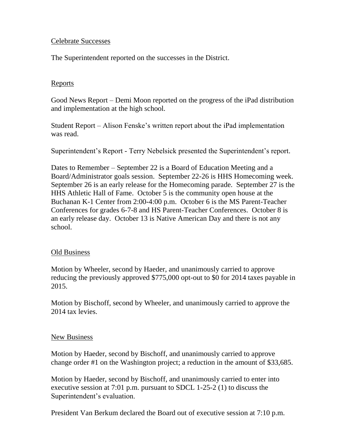# Celebrate Successes

The Superintendent reported on the successes in the District.

### **Reports**

Good News Report – Demi Moon reported on the progress of the iPad distribution and implementation at the high school.

Student Report – Alison Fenske's written report about the iPad implementation was read.

Superintendent's Report - Terry Nebelsick presented the Superintendent's report.

Dates to Remember – September 22 is a Board of Education Meeting and a Board/Administrator goals session. September 22-26 is HHS Homecoming week. September 26 is an early release for the Homecoming parade. September 27 is the HHS Athletic Hall of Fame. October 5 is the community open house at the Buchanan K-1 Center from 2:00-4:00 p.m. October 6 is the MS Parent-Teacher Conferences for grades 6-7-8 and HS Parent-Teacher Conferences. October 8 is an early release day. October 13 is Native American Day and there is not any school.

### Old Business

Motion by Wheeler, second by Haeder, and unanimously carried to approve reducing the previously approved \$775,000 opt-out to \$0 for 2014 taxes payable in 2015.

Motion by Bischoff, second by Wheeler, and unanimously carried to approve the 2014 tax levies.

### New Business

Motion by Haeder, second by Bischoff, and unanimously carried to approve change order #1 on the Washington project; a reduction in the amount of \$33,685.

Motion by Haeder, second by Bischoff, and unanimously carried to enter into executive session at 7:01 p.m. pursuant to SDCL 1-25-2 (1) to discuss the Superintendent's evaluation.

President Van Berkum declared the Board out of executive session at 7:10 p.m.